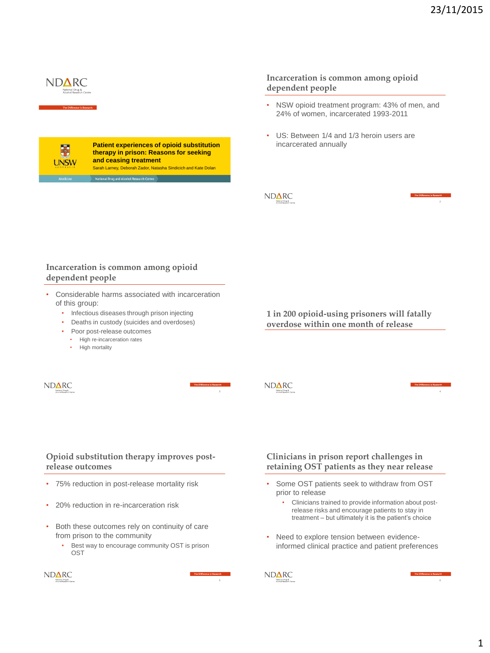### **Incarceration is common among opioid dependent people**

- NSW opioid treatment program: 43% of men, and 24% of women, incarcerated 1993-2011
- US: Between 1/4 and 1/3 heroin users are incarcerated annually

# **NDARC**

NDARC

**1 in 200 opioid-using prisoners will fatally** 

**overdose within one month of release**

**Opioid substitution therapy improves postrelease outcomes**

• 75% reduction in post-release mortality risk

**Incarceration is common among opioid** 

• Considerable harms associated with incarceration

• Infectious diseases through prison injecting • Deaths in custody (suicides and overdoses)

• Poor post-release outcomes • High re-incarceration rates • High mortality

- 20% reduction in re-incarceration risk
- Both these outcomes rely on continuity of care from prison to the community
	- Best way to encourage community OST is prison OST

 $ND\Delta RC$ 

# **Clinicians in prison report challenges in retaining OST patients as they near release**

- Some OST patients seek to withdraw from OST prior to release
	- Clinicians trained to provide information about postrelease risks and encourage patients to stay in treatment – but ultimately it is the patient's choice
- Need to explore tension between evidenceinformed clinical practice and patient preferences





**NDARC** 

**Patient experiences of opioid substitution therapy in prison: Reasons for seeking and ceasing treatment** Sarah Larney, Deborah Zador, Natasha Sindicich and Kate Dolan al Drug and Alcohol Research Cent



**dependent people**

of this group:

 $ND\Delta RC$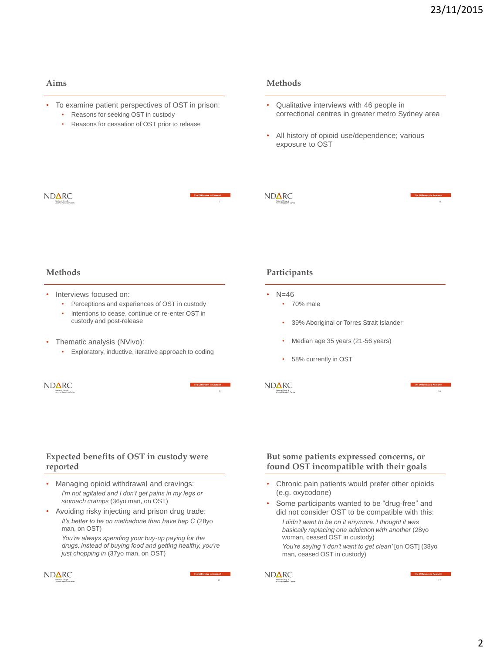### **Aims**

- To examine patient perspectives of OST in prison:
	- Reasons for seeking OST in custody
	- Reasons for cessation of OST prior to release

#### **Methods**

- Qualitative interviews with 46 people in correctional centres in greater metro Sydney area
- All history of opioid use/dependence; various exposure to OST

### ND**∆RC**

# ND**∆RC**

**Participants**

• 70% male

 $N = 46$ 

NDARC

#### **Methods**

- Interviews focused on:
	- Perceptions and experiences of OST in custody
	- Intentions to cease, continue or re-enter OST in custody and post-release
- Thematic analysis (NVivo):
	- Exploratory, inductive, iterative approach to coding



#### **Expected benefits of OST in custody were reported**

- Managing opioid withdrawal and cravings: *I'm not agitated and I don't get pains in my legs or stomach cramps* (36yo man, on OST)
- Avoiding risky injecting and prison drug trade: *It's better to be on methadone than have hep C* (28yo man, on OST)

*You're always spending your buy-up paying for the drugs, instead of buying food and getting healthy, you're just chopping in* (37yo man, on OST)



# **But some patients expressed concerns, or found OST incompatible with their goals**

• 39% Aboriginal or Torres Strait Islander

• Median age 35 years (21-56 years)

58% currently in OST

- Chronic pain patients would prefer other opioids (e.g. oxycodone)
- Some participants wanted to be "drug-free" and did not consider OST to be compatible with this: *I didn't want to be on it anymore. I thought it was basically replacing one addiction with another* (28yo woman, ceased OST in custody)
	- *You're saying 'I don't want to get clean'* [on OST] (38yo man, ceased OST in custody)



10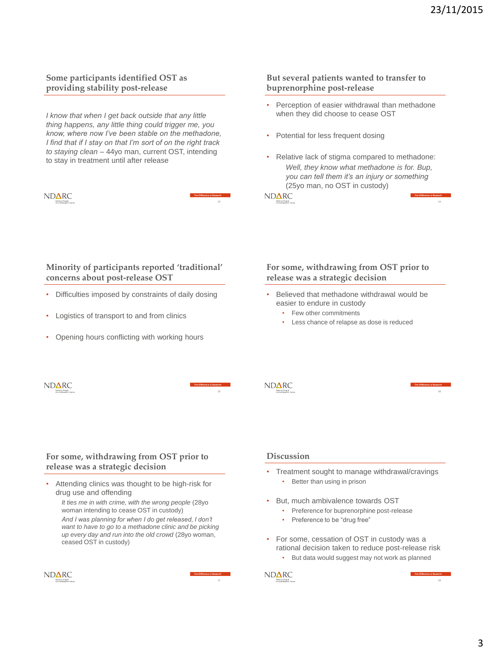14

### **Some participants identified OST as providing stability post-release**

*I know that when I get back outside that any little thing happens, any little thing could trigger me, you know, where now I've been stable on the methadone, I find that if I stay on that I'm sort of on the right track to staying clean* – 44yo man, current OST, intending to stay in treatment until after release

ND**∆**RC

#### **But several patients wanted to transfer to buprenorphine post-release**

- Perception of easier withdrawal than methadone when they did choose to cease OST
- Potential for less frequent dosing
- Relative lack of stigma compared to methadone: *Well, they know what methadone is for. Bup, you can tell them it's an injury or something* (25yo man, no OST in custody)

ND**∆**RC

# **Minority of participants reported 'traditional' concerns about post-release OST**

- Difficulties imposed by constraints of daily dosing
- Logistics of transport to and from clinics
- Opening hours conflicting with working hours

### **For some, withdrawing from OST prior to release was a strategic decision**

- Believed that methadone withdrawal would be easier to endure in custody
	- Few other commitments
	- Less chance of relapse as dose is reduced



13

### **For some, withdrawing from OST prior to release was a strategic decision**

Attending clinics was thought to be high-risk for drug use and offending

*It ties me in with crime, with the wrong people* (28yo woman intending to cease OST in custody)

*And I was planning for when I do get released, I don't want to have to go to a methadone clinic and be picking up every day and run into the old crowd* (28yo woman, ceased OST in custody)



**Discussion**

ND**∆**RC

- Treatment sought to manage withdrawal/cravings • Better than using in prison
- But, much ambivalence towards OST
	- Preference for buprenorphine post-release
	- Preference to be "drug free"
- For some, cessation of OST in custody was a rational decision taken to reduce post-release risk
	- But data would suggest may not work as planned